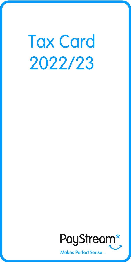**Tax Card** 2022/23



**Makes PerfectSense...**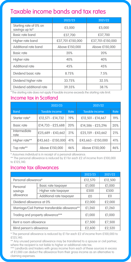# Taxable income bands and tax rates

|                                          | 2022/23          | 2021/22          |
|------------------------------------------|------------------|------------------|
| Startina rate of 0% on<br>savings up to* | £5,000           | £5,000           |
| Basic rate band                          | £37,700          | £37,700          |
| Higher rate band                         | £37.701-£150.000 | £37.701-£150.000 |
| Additional rate band                     | Above £150,000   | Above £150,000   |
| <b>Basic rate</b>                        | 20%              | 20%              |
| Higher rate                              | 40%              | 40%              |
| Additional rate                          | 45%              | 45%              |
| Dividend basic rate                      | 8.75%            | 7.5%             |
| Dividend higher rate                     | 33.75%           | 32.5%            |
| Dividend additional rate                 | 39.35%           | 38.1%            |

\* The starting rate does not apply if taxable income exceeds the starting rate limit.

#### Income tax in Scotland

|                      | 2022/23            |      | 2021/22            |      |
|----------------------|--------------------|------|--------------------|------|
| <b>Band</b>          | Taxable income     | Rate | Taxable income     | Rate |
| Starter rate*        | £12.571 - £14,732  | 19%  | £12.501 - £14.667  | 19%  |
| <b>Basic rate</b>    | £14,733 - £25,688  | 20%  | £14.586 - £25.296  | 20%  |
| Intermediate<br>rate | £25.689 - £43.662  | 21%  | £25.159 - £43.662  | 21%  |
| Higher rate**        | £43.663 - £150.000 | 41%  | £43.663 - £150.000 | 41%  |
| Top rate**           | Above £150,000     | 46%  | Above £150,000     | 46%  |

\* Assumes individual is in receipt of a personal allowance.

\*\* The personal allowance is reduced by £1 for each £2 of income from £100,000 to £125,140.

### Income tax allowances

|                                                 |                          | 2022/23 | 2021/22 |
|-------------------------------------------------|--------------------------|---------|---------|
| Personal allowance*                             |                          | £12,570 | £12,500 |
| Personal                                        | Basic rate taxpayer      | £1,000  | £1,000  |
| savinas                                         | Higher rate taxpayer     | £500    | £500    |
| allowance                                       | Additional rate taxpayer | £0      | £0      |
| Dividend allowance at 0%                        |                          | £2.000  | £2.000  |
| Marriage/Civil Partner transferable allowance** |                          | £1.260  | £1.260  |
| Trading and property allowance***               |                          | £1,000  | £1,000  |
| Rent a room allowance                           |                          | £7.500  | £7.500  |
| Blind person's allowance                        |                          | £2.600  | £2.520  |

\* The personal allowance is reduced by £1 for each £2 of income from £100,000 to £125,140.

\*\* Any unused personal allowance may be transferred to a spouse or civil partner, where the recipient is not liable to higher or additional-rate tax.

\*\*\* Landlords and traders with gross income from each of these sources in excess of £1,000 can deduct the allowance from their gross income as an alternative to claiming expenses.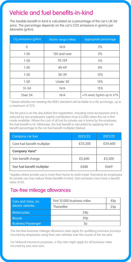## Vehicle and fuel benefits-in-kind

The taxable benefit-in-kind is calculated as a percentage of the car's UK list price. The percentage depends on the car's CO2 emissions in grams per kilometre (g/km).

| CO <sub>2</sub> emissions (q/km) | Electric range (miles) | Appropriate percentage    |
|----------------------------------|------------------------|---------------------------|
| $\Omega$                         | N/A                    | 2%                        |
| $1 - 50$                         | 130 and over           | 2%                        |
| $1 - 50$                         | 70-129                 | 5%                        |
| $1 - 50$                         | $40 - 69$              | 8%                        |
| $1 - 50$                         | $30 - 39$              | 12%                       |
| $1 - 50$                         | Under 30               | 14%                       |
| $51 - 54$                        | N/A                    | 15%                       |
| Over 54                          | N/A                    | +1% every 5q/km up to 37% |

\* Diesel vehicles not meeting the RDE2 standard will be liable to a 4% surcharge, up to a maximum of 37%.

The list price is on the day before first registration, including most accessories and is reduced by any employee's capital contribution (max £5,000) when the car is first made available. Where the cost of all fuel for private use is borne by the employee, the fuel benefit is nil. Otherwise, the fuel benefit is calculated by applying the car benefit percentage to the car fuel benefit multiplier (below).

| Company car fuel             | 2022/23 | 2021/22 |
|------------------------------|---------|---------|
| Care fuel benefit multiplier | £25.300 | £24.600 |
| <b>Company Vans*</b>         |         |         |
| Van benefit charge           | £3.600  | £3.500  |
| Van fuel benefit multiplier  | £688    | £669    |

\*Applies where private use is more than home-to-work travel. Payments by employees for private use may reduce these benefits-in-kind. Zero-emission vans have a benefit value of £0.

### Tax-free mileage allowances

| Cars and Vans. inc.       | First 10,000 business miles | 45p |
|---------------------------|-----------------------------|-----|
| electric vehicles         | Thereafter                  | 25p |
| <b>Motorcycles</b>        | 24p                         |     |
| <b>Bicycle</b>            | 20 <sub>D</sub>             |     |
| <b>Business Passenger</b> | 5 <sub>D</sub>              |     |

The tax-free business mileage allowance rates apply for qualifying business journeys incurred by employees using their own vehicles over the course of the tax year.

For National Insurance purposes, a 45p rate might apply for all business miles incurred by cars and vans.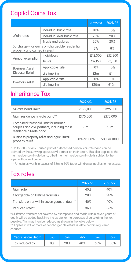## Capital Gains Tax

|                                                                                  |                            | 2022/23 | 2021/22 |
|----------------------------------------------------------------------------------|----------------------------|---------|---------|
|                                                                                  | Individual basic rate      | 10%     | 10%     |
| Main rates                                                                       | Individual over basic rate | 20%     | 20%     |
|                                                                                  | Trusts and estates         | 20%     | 20%     |
| Surcharge - for gains on chargeable residential<br>property and carried interest |                            | 8%      | 8%      |
|                                                                                  | Individuals                | £12,300 | £12.300 |
| Annual exemption                                                                 | Trusts                     | £6.150  | £6.150  |
| <b>Business Asset</b>                                                            | Applicable rate            | 10%     | 10%     |
| <b>Disposal Relief</b>                                                           | Lifetime limit             | £1m     | £1m     |
|                                                                                  | Applicable rate            | 10%     | 10%     |
| Investors' relief                                                                | Lifetime limit             | £10m    | £10m    |

### Inheritance Tax

|                                                                                                               | 2022/23     | 2021/22     |
|---------------------------------------------------------------------------------------------------------------|-------------|-------------|
| Nil-rate band limit*                                                                                          | £325,000    | £325,000    |
| Main residence nil-rate band**                                                                                | £175,000    | £175,000    |
| Combined threshold limit for married<br>couples and civil partners, including main<br>residence nil-rate band | £1m         | £1m         |
| Business property relief and agricultural<br>property relief                                                  | 50% or 100% | 50% or 100% |

\* Up to 100% of any unused part of a deceased person's nil-rate band can be claimed by the surviving spouse/civil partner on their death. This also applies to the main residence nil-rate band, albeit the main residence nil-rate is subject to the taper withdrawal below.

\*\* For estates worth in excess of £2m, a 50% taper withdrawal applies to the excess.

### Tax rates

|                                              | 2022/23 | 2021/22 |
|----------------------------------------------|---------|---------|
| Main rate                                    | 40%     | 40%     |
| Chargeable on lifetime transfers             | 20%     | 20%     |
| Transfers on or within seven years of death* | 40%     | 40%     |
| Reduced rate**                               | 36%     | 36%     |

\*All lifetime transfers not covered by exemptions and made within seven years of death will be added back into the estate for the purposes of calculating the tax payable. This may then be reduced as shown in the table below.

\*\* Applies if 10% or more of net-chargeable estate is left to certain registered charities.

| Years before death | $0 - 3$ |     |     |     |
|--------------------|---------|-----|-----|-----|
| Tax reduced by     | 0%      | 40% | 60% | 80% |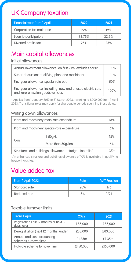# UK Company taxation

| Financial year from 1 April | 2022   | 2021  |
|-----------------------------|--------|-------|
| Corporation tax main rate   | 19%    | 19%   |
| Loan to participators       | 33.75% | 32.5% |
| Diverted profits tax        | 25%    | 25%   |

# Main capital allowances

#### Initial allowances

| Annual investment allowance: on first £1m (excludes cars)*                                        | 100% |
|---------------------------------------------------------------------------------------------------|------|
| Super-deduction: qualifying plant and machinery                                                   | 130% |
| First-year allowance: special rate pool                                                           | 50%  |
| First-year allowance: including, new and unused electric cars<br>and zero-emission goods vehicles | 100% |

\* Applies from 1 January 2019 to 31 March 2023, reverting to £200,000 from 1 April 2023. Transitional rules may apply for chargeable periods spanning these dates.

#### Writing down allowances

| Plant and machinery main-rate expenditure                 |                  | 18%    |
|-----------------------------------------------------------|------------------|--------|
| Plant and machinery special-rate expenditure              |                  | 6%     |
| Cars                                                      | $1-50q/km$       | 18%    |
|                                                           | More than 50q/km | 6%     |
| Structures and buildings allowance - straight-line relief |                  | $3%$ * |

\*An enhanced structure and buildings allowance of 10% is available in qualifying freeport tax sites.

# Value added tax

| From 1 April 2022 | Rate | <b>VAT Fraction</b> |
|-------------------|------|---------------------|
| Standard rate     | 20%  | 1/6                 |
| Reduced rate      | 5%   | 1/21                |

#### Taxable turnover limits

| From 1 April                                          | 2022     | 2021     |
|-------------------------------------------------------|----------|----------|
| Registration (last 12 months or next 30<br>days) over | £85,000  | £85,000  |
| Deregistration (next 12 months) under                 | £83,000  | £83.000  |
| Annual and cash accounting<br>schemes turnover limit  | £1.35m   | £1.35m   |
| Flat-rate scheme turnover limit                       | £150,000 | £150,000 |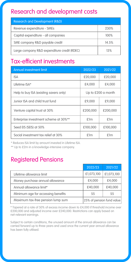# Research and development costs

| <b>Research and Development (R&amp;D)</b>   |       |
|---------------------------------------------|-------|
| Revenue expenditure - SMEs                  | 230%  |
| Capital expenditure - all companies         | 100%  |
| SME company R&D payable credit              | 14.5% |
| Large company R&D expenditure credit (RDEC) | 13%   |

## Tax-efficient investments

| <b>Annual investment limit</b>         | 2022/23            | 2021/22  |
|----------------------------------------|--------------------|----------|
| <b>ISA</b>                             | £20,000            | £20,000  |
| Lifetime ISA*                          | £4.000             | £4.000   |
| Help to buy ISA (existing savers only) | Up to £200 a month |          |
| Junior ISA and child trust fund        | £9,000             | £9,000   |
| Venture capital trust at 30%           | £200,000           | £200,000 |
| Enterprise investment scheme at 30%**  | £1m                | £1m      |
| Seed EIS (SEIS) at 50%                 | £100,000           | £100,000 |
| Social investment tax relief at 30%    | £1m                | £1m      |

\* Reduces ISA limit by amount invested in Lifetime ISA.

\*\* Up to £2m in a knowledge-intensive company.

# Registered Pensions

|                                    | 2022/23                   | 2021/22    |
|------------------------------------|---------------------------|------------|
| Lifetime allowance limit           | £1,073,100                | £1,073,100 |
| Money purchase annual allowance    | £4.000                    | £4.000     |
| Annual allowance limit*            | £40,000                   | £40,000    |
| Minimum age for accessing benefits | 55                        | 55         |
| Maximum tax-free pension lump sum  | 25% of pension fund value |            |

\* Tapered at a rate of 50% of excess income down to £4,000 if threshold income over £200,000 and adjusted income over £240,000. Restrictions can apply based on net-relevant earnings.

Subject to certain conditions, the unused amount of the annual allowance can be carried forward up to three years and used once the current year annual allowance has been fully utilised.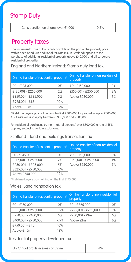# Stamp Duty

| Consideration on shares over £1,000 | 0.5% |
|-------------------------------------|------|
|-------------------------------------|------|

### Property taxes

The incremental rate of tax is only payable on the part of the property price within each band. An additional 3% rate (4% in Scotland) applies to the purchase of additional residential property above £40,000 and all corporate residential properties.

#### England and Northern Ireland: Stamp duty land tax

| On the transfer of residential property* |     | On the transfer of non-residential<br>property |    |
|------------------------------------------|-----|------------------------------------------------|----|
| £0 - £125.000                            | 0%  | £0 - £150,000                                  | 0% |
| £125.001 - £250.000                      | 2%  | £150,001 - £250,000                            | 2% |
| £250.001 - £925.000                      | 5%  | Above £250,000                                 | 5% |
| £925.001 - £1.5m                         | 10% |                                                |    |
| Above £1.5m                              | 12% |                                                |    |

\*First-time buyers pay nothing on the first £300,000 for properties up to £500,000. A 5% rate will also apply between £300,000 and £500,000.

For residential purchases by 'non-natural persons' over £500,000 a rate of 15% applies, subject to certain exclusions.

#### Scotland – land and buildings transaction tax

| On the transfer of residential property* |      | On the transfer of non-residential<br>property |    |
|------------------------------------------|------|------------------------------------------------|----|
| £0 - £145.000                            | 0%   | £0 - £150,000                                  | 0% |
| £145.001 - £250.000                      | 2%   | £150.001 - £250.000                            | 1% |
| £250.001 - £325.000                      | 5%   | Above £250,000                                 | 5% |
| £325.001 - £750.000                      | 10%  |                                                |    |
| $A_{max}$ $C750000$                      | 100/ |                                                |    |

Above £750,000 12%

\*First-time buyers pay nothing on the first £175,000.

#### Wales: Land transaction tax

| On the transfer of residential property* |      | On the transfer of non-residential<br>property |    |
|------------------------------------------|------|------------------------------------------------|----|
| £0 - £180,000                            | 0%   | £0 - £225,000                                  | 0% |
| £180.001 - £250.000                      | 3.5% | £225.001 - £250.000                            | 1% |
| £250.001 - £400.000                      | 5%   | £250.001 - £1m                                 | 5% |
| £400.001 - £750.000                      | 7.5% | Above £1m                                      | 6% |
| £750.001 - £1.5m                         | 10%  |                                                |    |
| Above £1.5m                              | 12%  |                                                |    |

#### Residential property developer tax

On Annual profits in exess of £25m 4%